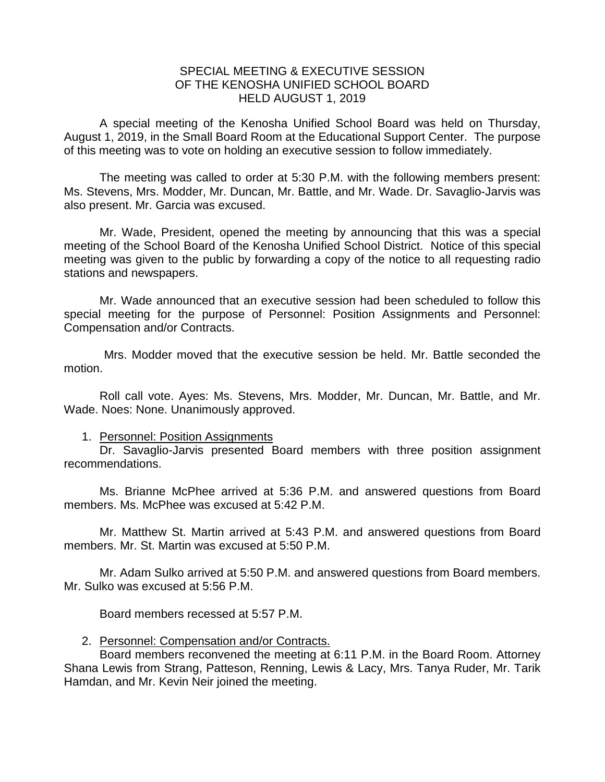## SPECIAL MEETING & EXECUTIVE SESSION OF THE KENOSHA UNIFIED SCHOOL BOARD HELD AUGUST 1, 2019

A special meeting of the Kenosha Unified School Board was held on Thursday, August 1, 2019, in the Small Board Room at the Educational Support Center. The purpose of this meeting was to vote on holding an executive session to follow immediately.

The meeting was called to order at 5:30 P.M. with the following members present: Ms. Stevens, Mrs. Modder, Mr. Duncan, Mr. Battle, and Mr. Wade. Dr. Savaglio-Jarvis was also present. Mr. Garcia was excused.

Mr. Wade, President, opened the meeting by announcing that this was a special meeting of the School Board of the Kenosha Unified School District. Notice of this special meeting was given to the public by forwarding a copy of the notice to all requesting radio stations and newspapers.

Mr. Wade announced that an executive session had been scheduled to follow this special meeting for the purpose of Personnel: Position Assignments and Personnel: Compensation and/or Contracts.

Mrs. Modder moved that the executive session be held. Mr. Battle seconded the motion.

Roll call vote. Ayes: Ms. Stevens, Mrs. Modder, Mr. Duncan, Mr. Battle, and Mr. Wade. Noes: None. Unanimously approved.

## 1. Personnel: Position Assignments

Dr. Savaglio-Jarvis presented Board members with three position assignment recommendations.

Ms. Brianne McPhee arrived at 5:36 P.M. and answered questions from Board members. Ms. McPhee was excused at 5:42 P.M.

Mr. Matthew St. Martin arrived at 5:43 P.M. and answered questions from Board members. Mr. St. Martin was excused at 5:50 P.M.

Mr. Adam Sulko arrived at 5:50 P.M. and answered questions from Board members. Mr. Sulko was excused at 5:56 P.M.

Board members recessed at 5:57 P.M.

## 2. Personnel: Compensation and/or Contracts.

Board members reconvened the meeting at 6:11 P.M. in the Board Room. Attorney Shana Lewis from Strang, Patteson, Renning, Lewis & Lacy, Mrs. Tanya Ruder, Mr. Tarik Hamdan, and Mr. Kevin Neir joined the meeting.